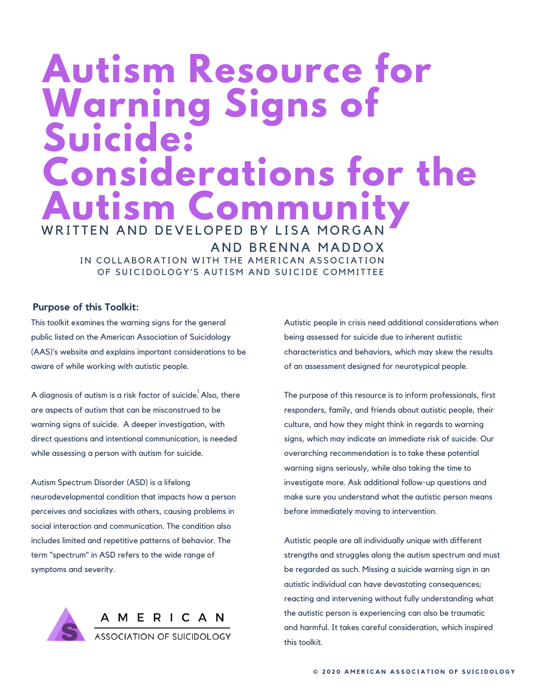# **Autism Resource for Warning Signs of Suicide: Considerations for the** WRITTEN AND DEVELOPED BY LISA MORGAN Autism Community

AND BRENNA MADDOX IN COLLABORATION WITH THE AMERICAN ASSOCIATION OF SUICIDOLOGY'S AUTISM AND SUICIDE COMMITTEE

# **Purpose of this Toolkit:**

This toolkit examines the warning signs for the general public listed on the American Association of Suicidology (AAS)'s website and explains important considerations to be aware of while working with autistic people.

A diagnosis of autism is a risk factor of suicide.<sup>1</sup> Also, there are aspects of autism that can be misconstrued to be warning signs of suicide. A deeper investigation, with direct questions and intentional communication, is needed while assessing a person with autism for suicide.

Autism Spectrum Disorder (ASD) is a lifelong neurodevelopmental condition that impacts how a person perceives and socializes with others, causing problems in social interaction and communication. The condition also includes limited and repetitive patterns of behavior. The term "spectrum" in ASD refers to the wide range of symptoms and severity.



Autistic people in crisis need additional considerations when being assessed for suicide due to inherent autistic characteristics and behaviors, which may skew the results of an assessment designed for neurotypical people.

The purpose of this resource is to inform professionals, first responders, family, and friends about autistic people, their culture, and how they might think in regards to warning signs, which may indicate an immediate risk of suicide. Our overarching recommendation is to take these potential warning signs seriously, while also taking the time to investigate more. Ask additional follow-up questions and make sure you understand what the autistic person means before immediately moving to intervention.

Autistic people are all individually unique with different strengths and struggles along the autism spectrum and must be regarded as such. Missing a suicide warning sign in an autistic individual can have devastating consequences; reacting and intervening without fully understanding what the autistic person is experiencing can also be traumatic and harmful. It takes careful consideration, which inspired this toolkit.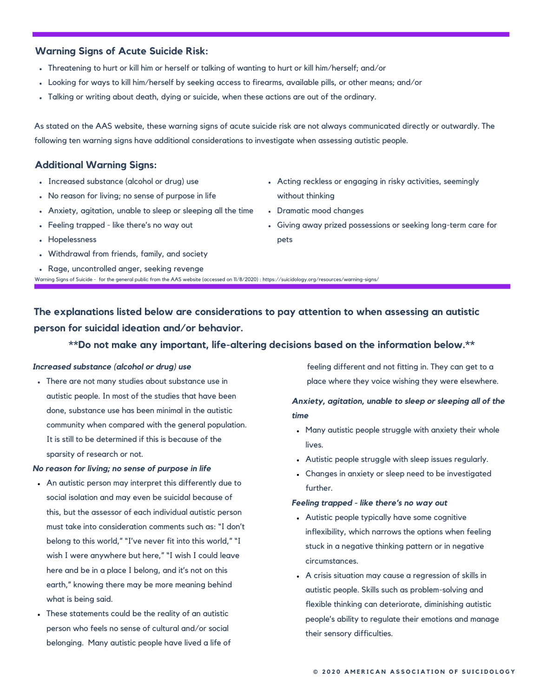# **Warning Signs of Acute Suicide Risk:**

- Threatening to hurt or kill him or herself or talking of wanting to hurt or kill him/herself; and/or
- Looking for ways to kill him/herself by seeking access to firearms, available pills, or other means; and/or .
- Talking or writing about death, dying or suicide, when these actions are out of the ordinary.

Warning Signs of Suicide - for the general public from the AAS website (accessed on 11/8/2020) : https://suicidology.org/resources/warning-signs/

As stated on the AAS website, these warning signs of acute suicide risk are not always communicated directly or outwardly. The following ten warning signs have additional considerations to investigate when assessing autistic people.

# **Additional Warning Signs:**

- 
- No reason for living; no sense of purpose in life without thinking
- Anxiety, agitation, unable to sleep or sleeping all the time Dramatic mood changes
- 
- Hopelessness pets
- Withdrawal from friends, family, and society
- Rage, uncontrolled anger, seeking revenge
- Increased substance (alcohol or drug) use **Acting reckless or engaging in risky activities**, seemingly
	-
- Feeling trapped like there's no way out Giving away prized possessions or seeking long-term care for

**The explanations listed below are considerations to pay attention to when assessing an autistic**

**person for suicidal ideation and/or behavior.**

# **\*\*Do not make any important, life-altering decisions based on the information below.\*\***

autistic people. In most of the studies that have been *Anxiety, agitation, unable to sleep or sleeping all of the* done, substance use has been minimal in the autistic *time* community when compared with the general population. Many autistic people struggle with anxiety their whole It is still to be determined if this is because of the lives.<br>sparsity of research or not.

# *No reason for living; no sense of purpose in life* Changes in anxiety or sleep need to be investigated

- An autistic person may interpret this differently due to further. social isolation and may even be suicidal because of *Feeling trapped - like there's no way out* this, but the assessor of each individual autistic person **Autistic people typically** have some cognitive must take into consideration comments such as: "I don't inflexibility, which narrows the options when feeling<br>belong to this world," "I've never fit into this world," "I wish I were anywhere but here," "I wish I could leave<br>here and be in a place I belong, and it's not on this earth," knowing there may be more meaning behind autistic people. Skills such as problem-solving and
- person who feels no sense of cultural and/or social their sensory difficulties. belonging. Many autistic people have lived a life of

**Increased substance (alcohol or drug) use** *Increased substance (alcohol or drug) use in the see in the see in the see in the see in the see in the see in the see in the see in the see in the see in the see in the se* • There are not many studies about substance use in place where they voice wishing they were elsewhere.

- 
- Autistic people struggle with sleep issues regularly.
- 

- stuck in a negative thinking pattern or in negative
- A crisis situation may cause a regression of skills in what is being said.<br>• These statements could be the reality of an autistic flexible thinking can deteriorate, diminishing autistic people's ability to regulate their emotions and manage